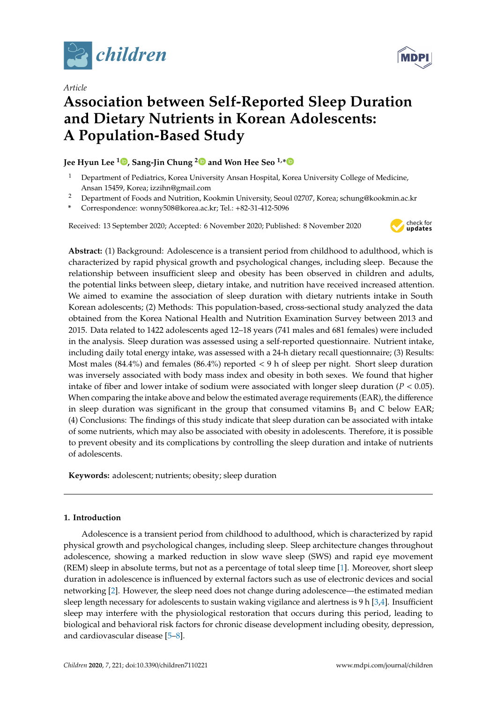

*Article*



# **Association between Self-Reported Sleep Duration and Dietary Nutrients in Korean Adolescents: A Population-Based Study**

## **Jee Hyun Lee <sup>1</sup> [,](https://orcid.org/0000-0002-4318-2487) Sang-Jin Chung [2](https://orcid.org/0000-0003-4804-7206) and Won Hee Seo 1,[\\*](https://orcid.org/0000-0001-7628-7982)**

- <sup>1</sup> Department of Pediatrics, Korea University Ansan Hospital, Korea University College of Medicine, Ansan 15459, Korea; izzihn@gmail.com
- <sup>2</sup> Department of Foods and Nutrition, Kookmin University, Seoul 02707, Korea; schung@kookmin.ac.kr
- **\*** Correspondence: wonny508@korea.ac.kr; Tel.: +82-31-412-5096

Received: 13 September 2020; Accepted: 6 November 2020; Published: 8 November 2020



**Abstract:** (1) Background: Adolescence is a transient period from childhood to adulthood, which is characterized by rapid physical growth and psychological changes, including sleep. Because the relationship between insufficient sleep and obesity has been observed in children and adults, the potential links between sleep, dietary intake, and nutrition have received increased attention. We aimed to examine the association of sleep duration with dietary nutrients intake in South Korean adolescents; (2) Methods: This population-based, cross-sectional study analyzed the data obtained from the Korea National Health and Nutrition Examination Survey between 2013 and 2015. Data related to 1422 adolescents aged 12–18 years (741 males and 681 females) were included in the analysis. Sleep duration was assessed using a self-reported questionnaire. Nutrient intake, including daily total energy intake, was assessed with a 24-h dietary recall questionnaire; (3) Results: Most males (84.4%) and females (86.4%) reported < 9 h of sleep per night. Short sleep duration was inversely associated with body mass index and obesity in both sexes. We found that higher intake of fiber and lower intake of sodium were associated with longer sleep duration ( $P < 0.05$ ). When comparing the intake above and below the estimated average requirements (EAR), the difference in sleep duration was significant in the group that consumed vitamins  $B_1$  and C below EAR; (4) Conclusions: The findings of this study indicate that sleep duration can be associated with intake of some nutrients, which may also be associated with obesity in adolescents. Therefore, it is possible to prevent obesity and its complications by controlling the sleep duration and intake of nutrients of adolescents.

**Keywords:** adolescent; nutrients; obesity; sleep duration

## **1. Introduction**

Adolescence is a transient period from childhood to adulthood, which is characterized by rapid physical growth and psychological changes, including sleep. Sleep architecture changes throughout adolescence, showing a marked reduction in slow wave sleep (SWS) and rapid eye movement (REM) sleep in absolute terms, but not as a percentage of total sleep time [\[1\]](#page-8-0). Moreover, short sleep duration in adolescence is influenced by external factors such as use of electronic devices and social networking [\[2\]](#page-8-1). However, the sleep need does not change during adolescence—the estimated median sleep length necessary for adolescents to sustain waking vigilance and alertness is 9 h [\[3,](#page-8-2)[4\]](#page-8-3). Insufficient sleep may interfere with the physiological restoration that occurs during this period, leading to biological and behavioral risk factors for chronic disease development including obesity, depression, and cardiovascular disease [\[5–](#page-8-4)[8\]](#page-8-5).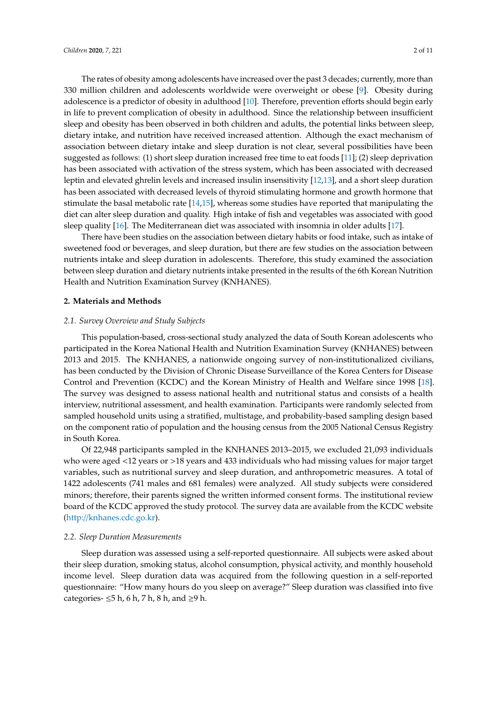The rates of obesity among adolescents have increased over the past 3 decades; currently, more than 330 million children and adolescents worldwide were overweight or obese [\[9\]](#page-8-6). Obesity during adolescence is a predictor of obesity in adulthood [\[10\]](#page-8-7). Therefore, prevention efforts should begin early in life to prevent complication of obesity in adulthood. Since the relationship between insufficient sleep and obesity has been observed in both children and adults, the potential links between sleep, dietary intake, and nutrition have received increased attention. Although the exact mechanism of association between dietary intake and sleep duration is not clear, several possibilities have been suggested as follows: (1) short sleep duration increased free time to eat foods [\[11\]](#page-8-8); (2) sleep deprivation has been associated with activation of the stress system, which has been associated with decreased leptin and elevated ghrelin levels and increased insulin insensitivity [\[12,](#page-8-9)[13\]](#page-8-10), and a short sleep duration has been associated with decreased levels of thyroid stimulating hormone and growth hormone that stimulate the basal metabolic rate [\[14](#page-8-11)[,15\]](#page-8-12), whereas some studies have reported that manipulating the diet can alter sleep duration and quality. High intake of fish and vegetables was associated with good sleep quality [\[16\]](#page-8-13). The Mediterranean diet was associated with insomnia in older adults [\[17\]](#page-9-0).

There have been studies on the association between dietary habits or food intake, such as intake of sweetened food or beverages, and sleep duration, but there are few studies on the association between nutrients intake and sleep duration in adolescents. Therefore, this study examined the association between sleep duration and dietary nutrients intake presented in the results of the 6th Korean Nutrition Health and Nutrition Examination Survey (KNHANES).

## **2. Materials and Methods**

## *2.1. Survey Overview and Study Subjects*

This population-based, cross-sectional study analyzed the data of South Korean adolescents who participated in the Korea National Health and Nutrition Examination Survey (KNHANES) between 2013 and 2015. The KNHANES, a nationwide ongoing survey of non-institutionalized civilians, has been conducted by the Division of Chronic Disease Surveillance of the Korea Centers for Disease Control and Prevention (KCDC) and the Korean Ministry of Health and Welfare since 1998 [\[18\]](#page-9-1). The survey was designed to assess national health and nutritional status and consists of a health interview, nutritional assessment, and health examination. Participants were randomly selected from sampled household units using a stratified, multistage, and probability-based sampling design based on the component ratio of population and the housing census from the 2005 National Census Registry in South Korea.

Of 22,948 participants sampled in the KNHANES 2013–2015, we excluded 21,093 individuals who were aged <12 years or >18 years and 433 individuals who had missing values for major target variables, such as nutritional survey and sleep duration, and anthropometric measures. A total of 1422 adolescents (741 males and 681 females) were analyzed. All study subjects were considered minors; therefore, their parents signed the written informed consent forms. The institutional review board of the KCDC approved the study protocol. The survey data are available from the KCDC website (http://[knhanes.cdc.go.kr\)](http://knhanes.cdc.go.kr).

#### *2.2. Sleep Duration Measurements*

Sleep duration was assessed using a self-reported questionnaire. All subjects were asked about their sleep duration, smoking status, alcohol consumption, physical activity, and monthly household income level. Sleep duration data was acquired from the following question in a self-reported questionnaire: "How many hours do you sleep on average?" Sleep duration was classified into five categories-  $\leq$ 5 h, 6 h, 7 h, 8 h, and  $\geq$ 9 h.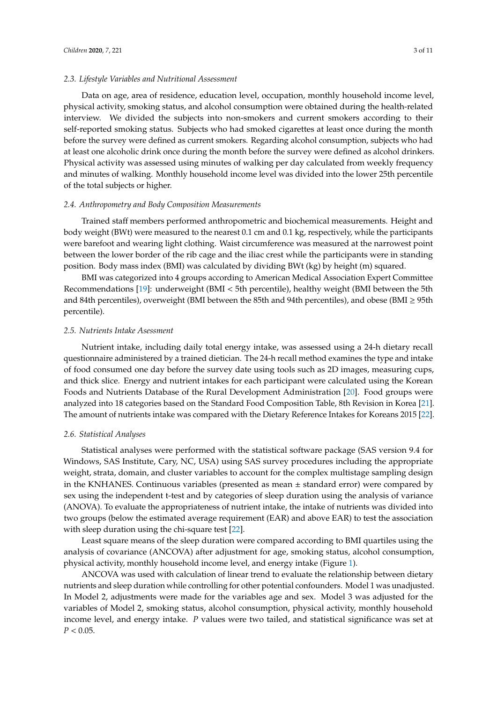## *2.3. Lifestyle Variables and Nutritional Assessment*

Data on age, area of residence, education level, occupation, monthly household income level, physical activity, smoking status, and alcohol consumption were obtained during the health-related interview. We divided the subjects into non-smokers and current smokers according to their self-reported smoking status. Subjects who had smoked cigarettes at least once during the month before the survey were defined as current smokers. Regarding alcohol consumption, subjects who had at least one alcoholic drink once during the month before the survey were defined as alcohol drinkers. Physical activity was assessed using minutes of walking per day calculated from weekly frequency and minutes of walking. Monthly household income level was divided into the lower 25th percentile of the total subjects or higher.

## *2.4. Anthropometry and Body Composition Measurements*

Trained staff members performed anthropometric and biochemical measurements. Height and body weight (BWt) were measured to the nearest 0.1 cm and 0.1 kg, respectively, while the participants were barefoot and wearing light clothing. Waist circumference was measured at the narrowest point between the lower border of the rib cage and the iliac crest while the participants were in standing position. Body mass index (BMI) was calculated by dividing BWt (kg) by height (m) squared.

BMI was categorized into 4 groups according to American Medical Association Expert Committee Recommendations [\[19\]](#page-9-2): underweight (BMI < 5th percentile), healthy weight (BMI between the 5th and 84th percentiles), overweight (BMI between the 85th and 94th percentiles), and obese (BMI ≥ 95th percentile).

#### *2.5. Nutrients Intake Asessment*

Nutrient intake, including daily total energy intake, was assessed using a 24-h dietary recall questionnaire administered by a trained dietician. The 24-h recall method examines the type and intake of food consumed one day before the survey date using tools such as 2D images, measuring cups, and thick slice. Energy and nutrient intakes for each participant were calculated using the Korean Foods and Nutrients Database of the Rural Development Administration [\[20\]](#page-9-3). Food groups were analyzed into 18 categories based on the Standard Food Composition Table, 8th Revision in Korea [\[21\]](#page-9-4). The amount of nutrients intake was compared with the Dietary Reference Intakes for Koreans 2015 [\[22\]](#page-9-5).

#### *2.6. Statistical Analyses*

Statistical analyses were performed with the statistical software package (SAS version 9.4 for Windows, SAS Institute, Cary, NC, USA) using SAS survey procedures including the appropriate weight, strata, domain, and cluster variables to account for the complex multistage sampling design in the KNHANES. Continuous variables (presented as mean  $\pm$  standard error) were compared by sex using the independent t-test and by categories of sleep duration using the analysis of variance (ANOVA). To evaluate the appropriateness of nutrient intake, the intake of nutrients was divided into two groups (below the estimated average requirement (EAR) and above EAR) to test the association with sleep duration using the chi-square test [\[22\]](#page-9-5).

Least square means of the sleep duration were compared according to BMI quartiles using the analysis of covariance (ANCOVA) after adjustment for age, smoking status, alcohol consumption, physical activity, monthly household income level, and energy intake (Figure [1\)](#page-3-0).

ANCOVA was used with calculation of linear trend to evaluate the relationship between dietary nutrients and sleep duration while controlling for other potential confounders. Model 1 was unadjusted. In Model 2, adjustments were made for the variables age and sex. Model 3 was adjusted for the variables of Model 2, smoking status, alcohol consumption, physical activity, monthly household income level, and energy intake. *P* values were two tailed, and statistical significance was set at  $P < 0.05$ .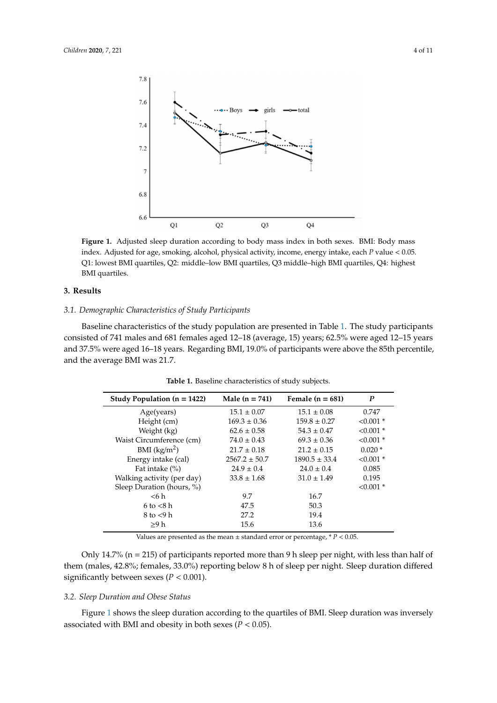<span id="page-3-0"></span>

index. Adjusted for age, smoking, alcohol, physical activity, income, energy intake, each *P* value < 0.05. Q1: lowest BMI quartiles, Q2: middle-low BMI quartiles, Q3 middle-high BMI quartiles, Q4: highest BMI quartiles. **Figure 1.** Adjusted sleep duration according to body mass index in both sexes. BMI: Body mass

## **3. Results**

#### **3. Results**  *3.1. Demographic Characteristics of Study Participants*

Baseline characteristics of the study population are presented in Table [1.](#page-3-1) The study participants consisted of 741 males and 681 females aged 12–18 (average, 15) years; 62.5% were aged 12–15 years and 37.5% were aged 16–18 years. Regarding BMI, 19.0% of participants were above the 85th percentile, and the average BMI was 21.7.

| Study Population $(n = 1422)$                                                       | Male $(n = 741)$  | Female $(n = 681)$ | $\boldsymbol{P}$ |  |  |  |
|-------------------------------------------------------------------------------------|-------------------|--------------------|------------------|--|--|--|
| Age(years)                                                                          | $15.1 \pm 0.07$   | $15.1 \pm 0.08$    | 0.747            |  |  |  |
| Height (cm)                                                                         | $169.3 \pm 0.36$  | $159.8 \pm 0.27$   | $< 0.001$ *      |  |  |  |
| Weight (kg)                                                                         | $62.6 \pm 0.58$   | $54.3 \pm 0.47$    | $< 0.001$ *      |  |  |  |
| Waist Circumference (cm)                                                            | $74.0 \pm 0.43$   | $69.3 \pm 0.36$    | $< 0.001$ *      |  |  |  |
| BMI $(kg/m2)$                                                                       | $21.7 \pm 0.18$   | $21.2 \pm 0.15$    | $0.020*$         |  |  |  |
| Energy intake (cal)                                                                 | $2567.2 \pm 50.7$ | $1890.5 \pm 33.4$  | $< 0.001$ *      |  |  |  |
| Fat intake $(\%)$                                                                   | $24.9 \pm 0.4$    | $24.0 \pm 0.4$     | 0.085            |  |  |  |
| Walking activity (per day)                                                          | $33.8 \pm 1.68$   | $31.0 \pm 1.49$    | 0.195            |  |  |  |
| Sleep Duration (hours, %)                                                           |                   |                    | $< 0.001$ *      |  |  |  |
| $<$ 6 h                                                                             | 9.7               | 16.7               |                  |  |  |  |
| $6$ to $< 8$ h                                                                      | 47.5              | 50.3               |                  |  |  |  |
| $8$ to $<$ 9 h                                                                      | 27.2              | 19.4               |                  |  |  |  |
| >9 h                                                                                | 15.6              | 13.6               |                  |  |  |  |
| Values are presented as the mean $\pm$ standard error or percentage, * $P < 0.05$ . |                   |                    |                  |  |  |  |

<span id="page-3-1"></span>percentile, and the average BMI was 21.7. **Table 1.** Baseline characteristics of study subjects.

them (males, 42.8%; females, 33.0%) reporting below 8 h of sleep per night. Sleep duration differed Only 14.7% ( $n = 215$ ) of participants reported more than 9 h sleep per night, with less than half of significantly between sexes ( $P < 0.001$ ).

## *3.2. Sleep Duration and Obese Status*

Figure [1](#page-3-0) shows the sleep duration according to the quartiles of BMI. Sleep duration was inversely associated with BMI and obesity in both sexes ( $P < 0.05$ ).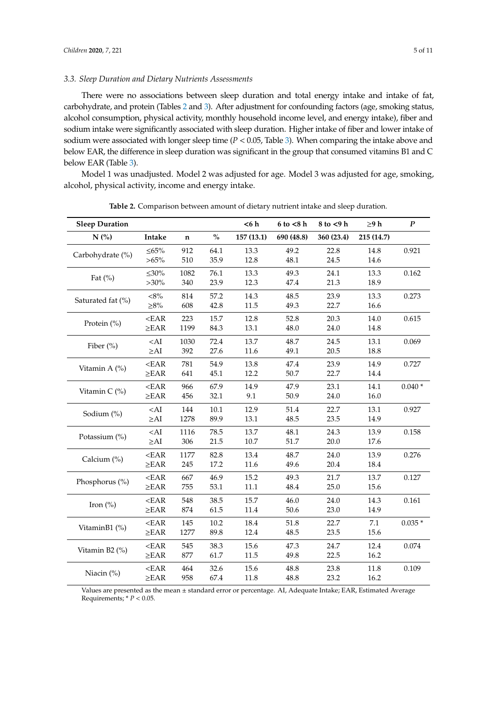## *3.3. Sleep Duration and Dietary Nutrients Assessments*

There were no associations between sleep duration and total energy intake and intake of fat, carbohydrate, and protein (Tables [2](#page-4-0) and [3\)](#page-6-0). After adjustment for confounding factors (age, smoking status, alcohol consumption, physical activity, monthly household income level, and energy intake), fiber and sodium intake were significantly associated with sleep duration. Higher intake of fiber and lower intake of sodium were associated with longer sleep time (*P* < 0.05, Table [3\)](#page-6-0). When comparing the intake above and below EAR, the difference in sleep duration was significant in the group that consumed vitamins B1 and C below EAR (Table [3\)](#page-6-0).

Model 1 was unadjusted. Model 2 was adjusted for age. Model 3 was adjusted for age, smoking, alcohol, physical activity, income and energy intake.

<span id="page-4-0"></span>

| <b>Sleep Duration</b> |              |             |      | < 6 h     | $6$ to $<$ 8 h | $8$ to $<$ 9 h | $\geq$ 9 h | $\boldsymbol{P}$ |
|-----------------------|--------------|-------------|------|-----------|----------------|----------------|------------|------------------|
| N(%)                  | Intake       | $\mathbf n$ | $\%$ | 157(13.1) | 690 (48.8)     | 360 (23.4)     | 215 (14.7) |                  |
| Carbohydrate (%)      | ${\leq}65\%$ | 912         | 64.1 | 13.3      | 49.2           | 22.8           | 14.8       | 0.921            |
|                       | $>65\%$      | 510         | 35.9 | 12.8      | 48.1           | 24.5           | 14.6       |                  |
| Fat $(\%)$            | $\leq 30\%$  | 1082        | 76.1 | 13.3      | 49.3           | 24.1           | 13.3       | 0.162            |
|                       | $>30\%$      | 340         | 23.9 | 12.3      | 47.4           | 21.3           | 18.9       |                  |
| Saturated fat (%)     | $<\!\!8\%$   | 814         | 57.2 | 14.3      | 48.5           | 23.9           | 13.3       | 0.273            |
|                       | ${\geq}8\%$  | 608         | 42.8 | 11.5      | 49.3           | 22.7           | 16.6       |                  |
| Protein $(\% )$       | $<$ EAR      | 223         | 15.7 | 12.8      | 52.8           | 20.3           | 14.0       | 0.615            |
|                       | $\geq$ EAR   | 1199        | 84.3 | 13.1      | 48.0           | 24.0           | 14.8       |                  |
|                       | $<$ AI       | 1030        | 72.4 | 13.7      | 48.7           | 24.5           | 13.1       | 0.069            |
| Fiber (%)             | $\geq$ AI    | 392         | 27.6 | 11.6      | 49.1           | 20.5           | 18.8       |                  |
|                       | $<$ EAR      | 781         | 54.9 | 13.8      | 47.4           | 23.9           | 14.9       | 0.727            |
| Vitamin A $(\%)$      | $\geq$ EAR   | 641         | 45.1 | 12.2      | 50.7           | 22.7           | 14.4       |                  |
| Vitamin C (%)         | $<$ EAR      | 966         | 67.9 | 14.9      | 47.9           | 23.1           | 14.1       | $0.040*$         |
|                       | $\geq$ EAR   | 456         | 32.1 | 9.1       | 50.9           | 24.0           | 16.0       |                  |
|                       | $<$ AI       | 144         | 10.1 | 12.9      | 51.4           | 22.7           | 13.1       | 0.927            |
| Sodium (%)            | $\geq$ AI    | 1278        | 89.9 | 13.1      | 48.5           | 23.5           | 14.9       |                  |
|                       | $<$ AI       | 1116        | 78.5 | 13.7      | 48.1           | 24.3           | 13.9       | 0.158            |
| Potassium (%)         | $\geq$ AI    | 306         | 21.5 | 10.7      | 51.7           | 20.0           | 17.6       |                  |
|                       | $<$ EAR      | 1177        | 82.8 | 13.4      | 48.7           | 24.0           | 13.9       | 0.276            |
| Calcium (%)           | $\geq$ EAR   | 245         | 17.2 | 11.6      | 49.6           | 20.4           | 18.4       |                  |
|                       | $<$ EAR      | 667         | 46.9 | 15.2      | 49.3           | 21.7           | 13.7       | 0.127            |
| Phosphorus (%)        | $\geq$ EAR   | 755         | 53.1 | 11.1      | 48.4           | 25.0           | 15.6       |                  |
| Iron $(\%)$           | $<$ EAR      | 548         | 38.5 | 15.7      | 46.0           | 24.0           | 14.3       | 0.161            |
|                       | $\geq$ EAR   | 874         | 61.5 | 11.4      | 50.6           | 23.0           | 14.9       |                  |
|                       | $<$ EAR      | 145         | 10.2 | 18.4      | 51.8           | 22.7           | 7.1        | $0.035*$         |
| VitaminB1 (%)         | $\geq$ EAR   | 1277        | 89.8 | 12.4      | 48.5           | 23.5           | 15.6       |                  |
|                       | $<$ EAR      | 545         | 38.3 | 15.6      | 47.3           | 24.7           | 12.4       | 0.074            |
| Vitamin B2 (%)        | $\geq$ EAR   | 877         | 61.7 | 11.5      | 49.8           | 22.5           | 16.2       |                  |
|                       | $<$ EAR      | 464         | 32.6 | 15.6      | 48.8           | 23.8           | 11.8       | 0.109            |
| Niacin (%)            | $\geq$ EAR   | 958         | 67.4 | 11.8      | 48.8           | 23.2           | 16.2       |                  |

**Table 2.** Comparison between amount of dietary nutrient intake and sleep duration.

Values are presented as the mean ± standard error or percentage. AI, Adequate Intake; EAR, Estimated Average Requirements;  $* P < 0.05$ .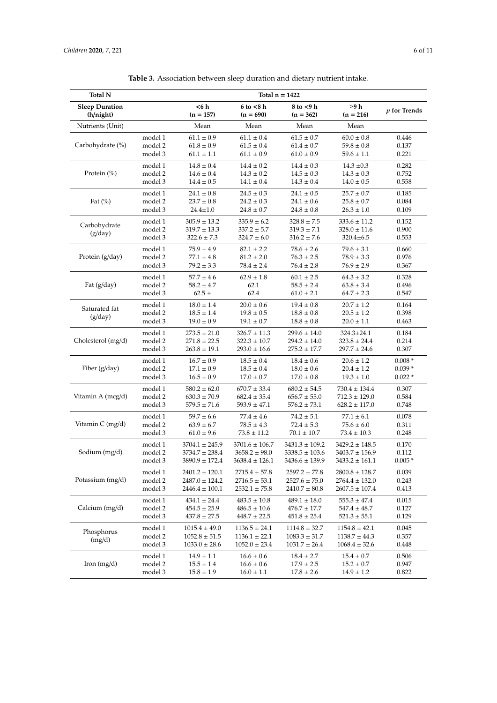| <b>Total N</b>                     | Total $n = 1422$ |                     |                               |                          |                           |                |
|------------------------------------|------------------|---------------------|-------------------------------|--------------------------|---------------------------|----------------|
| <b>Sleep Duration</b><br>(h/night) |                  | <6 h<br>$(n = 157)$ | $6$ to $<$ 8 h<br>$(n = 690)$ | 8 to <9 h<br>$(n = 362)$ | $\geq$ 9 h<br>$(n = 216)$ | $p$ for Trends |
| Nutrients (Unit)                   |                  | Mean                | Mean                          | Mean                     | Mean                      |                |
| Carbohydrate (%)                   | model 1          | $61.1 \pm 0.9$      | $61.1 \pm 0.4$                | $61.5 \pm 0.7$           | $60.0 \pm 0.8$            | 0.446          |
|                                    | model 2          | $61.8 \pm 0.9$      | $61.5 \pm 0.4$                | $61.4 \pm 0.7$           | $59.8 \pm 0.8$            | 0.137          |
|                                    | model 3          | $61.1 \pm 1.1$      | $61.1 \pm 0.9$                | $61.0 \pm 0.9$           | $59.6 \pm 1.1$            | 0.221          |
|                                    | model 1          | $14.8\pm0.4$        | $14.4 \pm 0.2$                | $14.4 \pm 0.3$           | $14.3 \pm 0.3$            | 0.282          |
| Protein (%)                        | model 2          | $14.6 \pm 0.4$      | $14.3 \pm 0.2$                | $14.5 \pm 0.3$           | $14.3 \pm 0.3$            | 0.752          |
|                                    | model 3          | $14.4 \pm 0.5$      | $14.1 \pm 0.4$                | $14.3 \pm 0.4$           | $14.0\pm0.5$              | 0.558          |
|                                    | model 1          | $24.1 \pm 0.8$      | $24.5 \pm 0.3$                | $24.1 \pm 0.5$           | $25.7 \pm 0.7$            | 0.185          |
| Fat $(\%)$                         | model 2          | $23.7 \pm 0.8$      | $24.2 \pm 0.3$                | $24.1 \pm 0.6$           | $25.8 \pm 0.7$            | 0.084          |
|                                    | model 3          | $24.4 \pm 1.0$      | $24.8 \pm 0.7$                | $24.8 \pm 0.8$           | $26.3 \pm 1.0$            | 0.109          |
| Carbohydrate                       | model 1          | $305.9 \pm 13.2$    | $335.9 \pm 6.2$               | $328.8 \pm 7.5$          | $333.6 \pm 11.2$          | 0.152          |
| (g/day)                            | model 2          | $319.7 \pm 13.3$    | $337.2 \pm 5.7$               | $319.3 \pm 7.1$          | $328.0 \pm 11.6$          | 0.900          |
|                                    | model 3          | $322.6 \pm 7.3$     | $324.7 \pm 6.0$               | $316.2 \pm 7.6$          | $320.4 \pm 6.5$           | 0.553          |
|                                    | model 1          | $75.9 \pm 4.9$      | $82.1 \pm 2.2$                | $78.6 \pm 2.6$           | $79.6 \pm 3.1$            | 0.660          |
| Protein (g/day)                    | model 2          | $77.1 \pm 4.8$      | $81.2 \pm 2.0$                | $76.3 \pm 2.5$           | $78.9 \pm 3.3$            | 0.976          |
|                                    | model 3          | $79.2 \pm 3.3$      | $78.4 \pm 2.4$                | $76.4 \pm 2.8$           | $76.9 \pm 2.9$            | 0.367          |
|                                    | model 1          | $57.7 \pm 4.6$      | $62.9 \pm 1.8$                | $60.1 \pm 2.5$           | $64.3 \pm 3.2$            | 0.328          |
| Fat $(g/day)$                      | model 2          | $58.2 \pm 4.7$      | 62.1                          | $58.5 \pm 2.4$           | $63.8 \pm 3.4$            | 0.496          |
|                                    | model 3          | $62.5 \pm$          | 62.4                          | $61.0 \pm 2.1$           | $64.7 \pm 2.3$            | 0.547          |
| Saturated fat<br>(g/day)           | model 1          | $18.0 \pm 1.4$      | $20.0 \pm 0.6$                | $19.4 \pm 0.8$           | $20.7 \pm 1.2$            | 0.164          |
|                                    | model 2          | $18.5 \pm 1.4$      | $19.8 \pm 0.5$                | $18.8 \pm 0.8$           | $20.5 \pm 1.2$            | 0.398          |
|                                    | model 3          | $19.0 \pm 0.9$      | $19.1 \pm 0.7$                | $18.8 \pm 0.8$           | $20.0 \pm 1.1$            | 0.463          |
|                                    | model 1          | $273.5 \pm 21.0$    | $326.7 \pm 11.3$              | $299.6 \pm 14.0$         | $324.3 \pm 24.1$          | 0.184          |
| Cholesterol (mg/d)                 | model 2          | $271.8 \pm 22.5$    | $322.3 \pm 10.7$              | $294.2 \pm 14.0$         | $323.8 \pm 24.4$          | 0.214          |
|                                    | model 3          | $263.8 \pm 19.1$    | $293.0 \pm 16.6$              | $275.2 \pm 17.7$         | $297.7 \pm 24.6$          | 0.307          |
|                                    | model 1          | $16.7 \pm 0.9$      | $18.5 \pm 0.4$                | $18.4 \pm 0.6$           | $20.6 \pm 1.2$            | $0.008*$       |
| Fiber (g/day)                      | model 2          | $17.1 \pm 0.9$      | $18.5 \pm 0.4$                | $18.0 \pm 0.6$           | $20.4 \pm 1.2$            | $0.039*$       |
|                                    | model 3          | $16.5 \pm 0.9$      | $17.0 \pm 0.7$                | $17.0 \pm 0.8$           | $19.3 \pm 1.0$            | $0.022*$       |
|                                    | model 1          | $580.2 \pm 62.0$    | $670.7 \pm 33.4$              | $680.2 \pm 54.5$         | $730.4 \pm 134.4$         | 0.307          |
| Vitamin A (mcg/d)                  | model 2          | $630.3 \pm 70.9$    | $682.4 \pm 35.4$              | $656.7 \pm 55.0$         | $712.3 \pm 129.0$         | 0.584          |
|                                    | model 3          | $579.5 \pm 71.6$    | $593.9 \pm 47.1$              | $576.2 \pm 73.1$         | $628.2 \pm 117.0$         | 0.748          |
|                                    | model 1          | $59.7 \pm 6.6$      | $77.4 \pm 4.6$                | $74.2 \pm 5.1$           | $77.1 \pm 6.1$            | 0.078          |
| Vitamin C (mg/d)                   | model 2          | $63.9 \pm 6.7$      | $78.5 \pm 4.3$                | $72.4 \pm 5.3$           | $75.6 \pm 6.0$            | 0.311          |
|                                    | model 3          | $61.0 \pm 9.6$      | $73.8 \pm 11.2$               | $70.1 \pm 10.7$          | $73.4 \pm 10.3$           | 0.248          |
| Sodium (mg/d)                      | model 1          | $3704.1 \pm 245.9$  | $3701.6 \pm 106.7$            | $3431.3 \pm 109.2$       | $3429.2 \pm 148.5$        | 0.170          |
|                                    | model 2          | $3734.7 \pm 238.4$  | $3658.2 \pm 98.0$             | $3338.5 \pm 103.6$       | $3403.7 \pm 156.9$        | 0.112          |
|                                    | model 3          | 3890.9 ± 172.4      | 3638.4 + 126.1                | $3436.6 \pm 139.9$       | 3433.2 ± 161.1            | $0.005*$       |
| Potassium (mg/d)                   | model 1          | $2401.2 \pm 120.1$  | $2715.4 \pm 57.8$             | $2597.2 \pm 77.8$        | $2800.8 \pm 128.7$        | 0.039          |
|                                    | model 2          | $2487.0 \pm 124.2$  | $2716.5 \pm 53.1$             | $2527.6 \pm 75.0$        | $2764.4 \pm 132.0$        | 0.243          |
|                                    | model 3          | $2446.4 \pm 100.1$  | $2532.1 \pm 75.8$             | $2410.7 \pm 80.8$        | $2607.5 \pm 107.4$        | 0.413          |
|                                    | model 1          | $434.1 \pm 24.4$    | $483.5 \pm 10.8$              | $489.1 \pm 18.0$         | $555.3 \pm 47.4$          | 0.015          |
| Calcium (mg/d)                     | model 2          | $454.5 \pm 25.9$    | $486.5 \pm 10.6$              | $476.7 \pm 17.7$         | $547.4 \pm 48.7$          | 0.127          |
|                                    | model 3          | $437.8 \pm 27.5$    | $448.7 \pm 22.5$              | $451.8 \pm 25.4$         | $521.3 \pm 55.1$          | 0.129          |
| Phosphorus<br>(mg/d)               | model 1          | $1015.4 \pm 49.0$   | $1136.5 \pm 24.1$             | $1114.8 \pm 32.7$        | $1154.8 \pm 42.1$         | 0.045          |
|                                    | model 2          | $1052.8 \pm 51.5$   | $1136.1 \pm 22.1$             | $1083.3 \pm 31.7$        | $1138.7 \pm 44.3$         | 0.357          |
|                                    | model 3          | $1033.0 \pm 28.6$   | $1052.0 \pm 23.4$             | $1031.7 \pm 26.4$        | $1068.4 \pm 32.6$         | 0.448          |
|                                    | model 1          | $14.9 \pm 1.1$      | $16.6\pm0.6$                  | $18.4 \pm 2.7$           | $15.4\pm0.7$              | 0.506          |
| Iron $(mg/d)$                      | model 2          | $15.5 \pm 1.4$      | $16.6 \pm 0.6$                | $17.9 \pm 2.5$           | $15.2 \pm 0.7$            | 0.947          |
|                                    | model 3          | $15.8 \pm 1.9$      | $16.0 \pm 1.1$                | $17.8 \pm 2.6$           | $14.9 \pm 1.2$            | 0.822          |

**Table 3.** Association between sleep duration and dietary nutrient intake.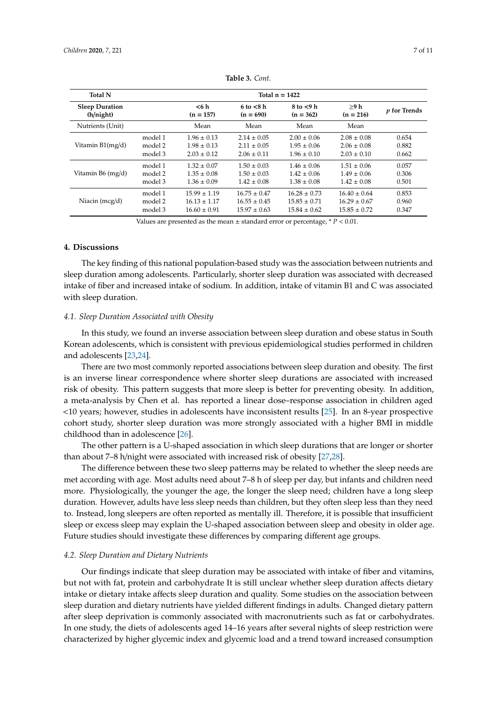<span id="page-6-0"></span>

| <b>Total N</b>                     | Total $n = 1422$ |                     |                               |                               |                     |                     |
|------------------------------------|------------------|---------------------|-------------------------------|-------------------------------|---------------------|---------------------|
| <b>Sleep Duration</b><br>(h/night) |                  | <6 h<br>$(n = 157)$ | $6$ to $< 8$ h<br>$(n = 690)$ | $8$ to $<$ 9 h<br>$(n = 362)$ | >9 h<br>$(n = 216)$ | <i>p</i> for Trends |
| Nutrients (Unit)                   |                  | Mean                | Mean                          | Mean                          | Mean                |                     |
| Vitamin B1(mg/d)                   | model 1          | $1.96 \pm 0.13$     | $2.14 \pm 0.05$               | $2.00 \pm 0.06$               | $2.08 \pm 0.08$     | 0.654               |
|                                    | model 2          | $1.98 \pm 0.13$     | $2.11 \pm 0.05$               | $1.95 \pm 0.06$               | $2.06 \pm 0.08$     | 0.882               |
|                                    | model 3          | $2.03 \pm 0.12$     | $2.06 \pm 0.11$               | $1.96 \pm 0.10$               | $2.03 \pm 0.10$     | 0.662               |
| Vitamin B6 (mg/d)                  | model 1          | $1.32 \pm 0.07$     | $1.50 \pm 0.03$               | $1.46 \pm 0.06$               | $1.51 \pm 0.06$     | 0.057               |
|                                    | model 2          | $1.35 \pm 0.08$     | $1.50 \pm 0.03$               | $1.42 \pm 0.06$               | $1.49 \pm 0.06$     | 0.306               |
|                                    | model 3          | $1.36 \pm 0.09$     | $1.42 \pm 0.08$               | $1.38 \pm 0.08$               | $1.42 \pm 0.08$     | 0.501               |
| Niacin $(mcg/d)$                   | model 1          | $15.99 \pm 1.19$    | $16.75 \pm 0.47$              | $16.28 \pm 0.73$              | $16.40 \pm 0.64$    | 0.853               |
|                                    | model 2          | $16.13 \pm 1.17$    | $16.55 \pm 0.45$              | $15.85 \pm 0.71$              | $16.29 \pm 0.67$    | 0.960               |
|                                    | model 3          | $16.60 \pm 0.91$    | $15.97 \pm 0.63$              | $15.84 \pm 0.62$              | $15.85 \pm 0.72$    | 0.347               |

**Table 3.** *Cont.*

Values are presented as the mean  $\pm$  standard error or percentage,  $* P < 0.01$ .

## **4. Discussions**

The key finding of this national population-based study was the association between nutrients and sleep duration among adolescents. Particularly, shorter sleep duration was associated with decreased intake of fiber and increased intake of sodium. In addition, intake of vitamin B1 and C was associated with sleep duration.

## *4.1. Sleep Duration Associated with Obesity*

In this study, we found an inverse association between sleep duration and obese status in South Korean adolescents, which is consistent with previous epidemiological studies performed in children and adolescents [\[23,](#page-9-6)[24\]](#page-9-7).

There are two most commonly reported associations between sleep duration and obesity. The first is an inverse linear correspondence where shorter sleep durations are associated with increased risk of obesity. This pattern suggests that more sleep is better for preventing obesity. In addition, a meta-analysis by Chen et al. has reported a linear dose–response association in children aged <10 years; however, studies in adolescents have inconsistent results [\[25\]](#page-9-8). In an 8-year prospective cohort study, shorter sleep duration was more strongly associated with a higher BMI in middle childhood than in adolescence [\[26\]](#page-9-9).

The other pattern is a U-shaped association in which sleep durations that are longer or shorter than about 7–8 h/night were associated with increased risk of obesity [\[27](#page-9-10)[,28\]](#page-9-11).

The difference between these two sleep patterns may be related to whether the sleep needs are met according with age. Most adults need about 7–8 h of sleep per day, but infants and children need more. Physiologically, the younger the age, the longer the sleep need; children have a long sleep duration. However, adults have less sleep needs than children, but they often sleep less than they need to. Instead, long sleepers are often reported as mentally ill. Therefore, it is possible that insufficient sleep or excess sleep may explain the U-shaped association between sleep and obesity in older age. Future studies should investigate these differences by comparing different age groups.

#### *4.2. Sleep Duration and Dietary Nutrients*

Our findings indicate that sleep duration may be associated with intake of fiber and vitamins, but not with fat, protein and carbohydrate It is still unclear whether sleep duration affects dietary intake or dietary intake affects sleep duration and quality. Some studies on the association between sleep duration and dietary nutrients have yielded different findings in adults. Changed dietary pattern after sleep deprivation is commonly associated with macronutrients such as fat or carbohydrates. In one study, the diets of adolescents aged 14–16 years after several nights of sleep restriction were characterized by higher glycemic index and glycemic load and a trend toward increased consumption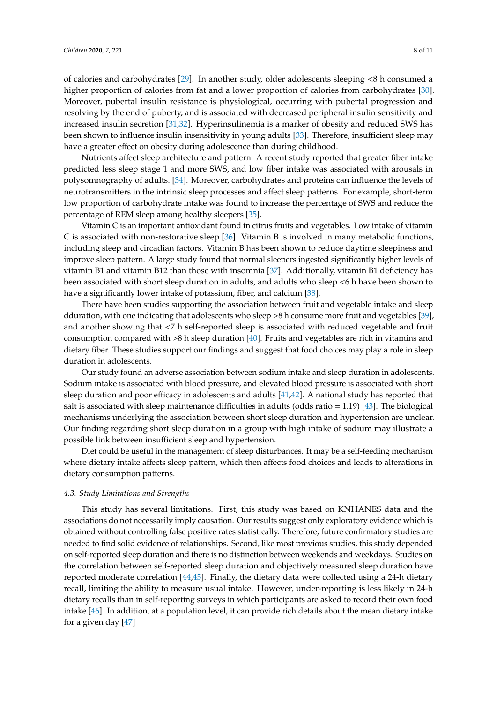of calories and carbohydrates [\[29\]](#page-9-12). In another study, older adolescents sleeping <8 h consumed a higher proportion of calories from fat and a lower proportion of calories from carbohydrates [\[30\]](#page-9-13). Moreover, pubertal insulin resistance is physiological, occurring with pubertal progression and resolving by the end of puberty, and is associated with decreased peripheral insulin sensitivity and increased insulin secretion [\[31,](#page-9-14)[32\]](#page-9-15). Hyperinsulinemia is a marker of obesity and reduced SWS has been shown to influence insulin insensitivity in young adults [\[33\]](#page-9-16). Therefore, insufficient sleep may

Nutrients affect sleep architecture and pattern. A recent study reported that greater fiber intake predicted less sleep stage 1 and more SWS, and low fiber intake was associated with arousals in polysomnography of adults. [\[34\]](#page-9-17). Moreover, carbohydrates and proteins can influence the levels of neurotransmitters in the intrinsic sleep processes and affect sleep patterns. For example, short-term low proportion of carbohydrate intake was found to increase the percentage of SWS and reduce the percentage of REM sleep among healthy sleepers [\[35\]](#page-9-18).

have a greater effect on obesity during adolescence than during childhood.

Vitamin C is an important antioxidant found in citrus fruits and vegetables. Low intake of vitamin C is associated with non-restorative sleep [\[36\]](#page-9-19). Vitamin B is involved in many metabolic functions, including sleep and circadian factors. Vitamin B has been shown to reduce daytime sleepiness and improve sleep pattern. A large study found that normal sleepers ingested significantly higher levels of vitamin B1 and vitamin B12 than those with insomnia [\[37\]](#page-9-20). Additionally, vitamin B1 deficiency has been associated with short sleep duration in adults, and adults who sleep <6 h have been shown to have a significantly lower intake of potassium, fiber, and calcium [\[38\]](#page-9-21).

There have been studies supporting the association between fruit and vegetable intake and sleep dduration, with one indicating that adolescents who sleep >8 h consume more fruit and vegetables [\[39\]](#page-9-22), and another showing that <7 h self-reported sleep is associated with reduced vegetable and fruit consumption compared with >8 h sleep duration [\[40\]](#page-10-0). Fruits and vegetables are rich in vitamins and dietary fiber. These studies support our findings and suggest that food choices may play a role in sleep duration in adolescents.

Our study found an adverse association between sodium intake and sleep duration in adolescents. Sodium intake is associated with blood pressure, and elevated blood pressure is associated with short sleep duration and poor efficacy in adolescents and adults [\[41](#page-10-1)[,42\]](#page-10-2). A national study has reported that salt is associated with sleep maintenance difficulties in adults (odds ratio = 1.19) [\[43\]](#page-10-3). The biological mechanisms underlying the association between short sleep duration and hypertension are unclear. Our finding regarding short sleep duration in a group with high intake of sodium may illustrate a possible link between insufficient sleep and hypertension.

Diet could be useful in the management of sleep disturbances. It may be a self-feeding mechanism where dietary intake affects sleep pattern, which then affects food choices and leads to alterations in dietary consumption patterns.

#### *4.3. Study Limitations and Strengths*

This study has several limitations. First, this study was based on KNHANES data and the associations do not necessarily imply causation. Our results suggest only exploratory evidence which is obtained without controlling false positive rates statistically. Therefore, future confirmatory studies are needed to find solid evidence of relationships. Second, like most previous studies, this study depended on self-reported sleep duration and there is no distinction between weekends and weekdays. Studies on the correlation between self-reported sleep duration and objectively measured sleep duration have reported moderate correlation [\[44,](#page-10-4)[45\]](#page-10-5). Finally, the dietary data were collected using a 24-h dietary recall, limiting the ability to measure usual intake. However, under-reporting is less likely in 24-h dietary recalls than in self-reporting surveys in which participants are asked to record their own food intake [\[46\]](#page-10-6). In addition, at a population level, it can provide rich details about the mean dietary intake for a given day [\[47\]](#page-10-7)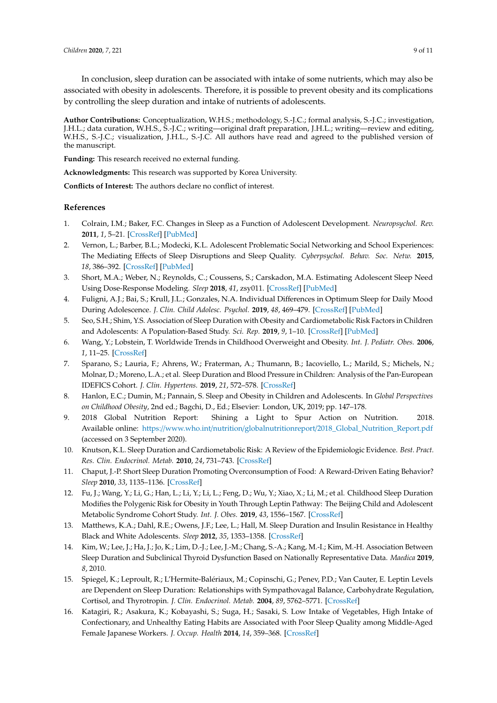In conclusion, sleep duration can be associated with intake of some nutrients, which may also be associated with obesity in adolescents. Therefore, it is possible to prevent obesity and its complications by controlling the sleep duration and intake of nutrients of adolescents.

**Author Contributions:** Conceptualization, W.H.S.; methodology, S.-J.C.; formal analysis, S.-J.C.; investigation, J.H.L.; data curation, W.H.S., S.-J.C.; writing—original draft preparation, J.H.L.; writing—review and editing, W.H.S., S.-J.C.; visualization, J.H.L., S.-J.C. All authors have read and agreed to the published version of the manuscript.

**Funding:** This research received no external funding.

**Acknowledgments:** This research was supported by Korea University.

**Conflicts of Interest:** The authors declare no conflict of interest.

## **References**

- <span id="page-8-0"></span>1. Colrain, I.M.; Baker, F.C. Changes in Sleep as a Function of Adolescent Development. *Neuropsychol. Rev.* **2011**, *1*, 5–21. [\[CrossRef\]](http://dx.doi.org/10.1007/s11065-010-9155-5) [\[PubMed\]](http://www.ncbi.nlm.nih.gov/pubmed/21225346)
- <span id="page-8-1"></span>2. Vernon, L.; Barber, B.L.; Modecki, K.L. Adolescent Problematic Social Networking and School Experiences: The Mediating Effects of Sleep Disruptions and Sleep Quality. *Cyberpsychol. Behav. Soc. Netw.* **2015**, *18*, 386–392. [\[CrossRef\]](http://dx.doi.org/10.1089/cyber.2015.0107) [\[PubMed\]](http://www.ncbi.nlm.nih.gov/pubmed/26167837)
- <span id="page-8-2"></span>3. Short, M.A.; Weber, N.; Reynolds, C.; Coussens, S.; Carskadon, M.A. Estimating Adolescent Sleep Need Using Dose-Response Modeling. *Sleep* **2018**, *41*, zsy011. [\[CrossRef\]](http://dx.doi.org/10.1093/sleep/zsy011) [\[PubMed\]](http://www.ncbi.nlm.nih.gov/pubmed/29325109)
- <span id="page-8-3"></span>4. Fuligni, A.J.; Bai, S.; Krull, J.L.; Gonzales, N.A. Individual Differences in Optimum Sleep for Daily Mood During Adolescence. *J. Clin. Child Adolesc. Psychol.* **2019**, *48*, 469–479. [\[CrossRef\]](http://dx.doi.org/10.1080/15374416.2017.1357126) [\[PubMed\]](http://www.ncbi.nlm.nih.gov/pubmed/28820607)
- <span id="page-8-4"></span>5. Seo, S.H.; Shim, Y.S. Association of Sleep Duration with Obesity and Cardiometabolic Risk Factors in Children and Adolescents: A Population-Based Study. *Sci. Rep.* **2019**, *9*, 1–10. [\[CrossRef\]](http://dx.doi.org/10.1038/s41598-019-45951-0) [\[PubMed\]](http://www.ncbi.nlm.nih.gov/pubmed/31263172)
- 6. Wang, Y.; Lobstein, T. Worldwide Trends in Childhood Overweight and Obesity. *Int. J. Pediatr. Obes.* **2006**, *1*, 11–25. [\[CrossRef\]](http://dx.doi.org/10.1080/17477160600586747)
- 7. Sparano, S.; Lauria, F.; Ahrens, W.; Fraterman, A.; Thumann, B.; Iacoviello, L.; Marild, S.; Michels, N.; Molnar, D.; Moreno, L.A.; et al. Sleep Duration and Blood Pressure in Children: Analysis of the Pan-European IDEFICS Cohort. *J. Clin. Hypertens.* **2019**, *21*, 572–578. [\[CrossRef\]](http://dx.doi.org/10.1111/jch.13520)
- <span id="page-8-5"></span>8. Hanlon, E.C.; Dumin, M.; Pannain, S. Sleep and Obesity in Children and Adolescents. In *Global Perspectives on Childhood Obesity*, 2nd ed.; Bagchi, D., Ed.; Elsevier: London, UK, 2019; pp. 147–178.
- <span id="page-8-6"></span>9. 2018 Global Nutrition Report: Shining a Light to Spur Action on Nutrition. 2018. Available online: https://www.who.int/nutrition/globalnutritionreport/[2018\\_Global\\_Nutrition\\_Report.pdf](https://www.who.int/nutrition/globalnutritionreport/2018_Global_Nutrition_Report.pdf) (accessed on 3 September 2020).
- <span id="page-8-7"></span>10. Knutson, K.L. Sleep Duration and Cardiometabolic Risk: A Review of the Epidemiologic Evidence. *Best. Pract. Res. Clin. Endocrinol. Metab.* **2010**, *24*, 731–743. [\[CrossRef\]](http://dx.doi.org/10.1016/j.beem.2010.07.001)
- <span id="page-8-8"></span>11. Chaput, J.-P. Short Sleep Duration Promoting Overconsumption of Food: A Reward-Driven Eating Behavior? *Sleep* **2010**, *33*, 1135–1136. [\[CrossRef\]](http://dx.doi.org/10.1093/sleep/33.9.1135)
- <span id="page-8-9"></span>12. Fu, J.; Wang, Y.; Li, G.; Han, L.; Li, Y.; Li, L.; Feng, D.; Wu, Y.; Xiao, X.; Li, M.; et al. Childhood Sleep Duration Modifies the Polygenic Risk for Obesity in Youth Through Leptin Pathway: The Beijing Child and Adolescent Metabolic Syndrome Cohort Study. *Int. J. Obes.* **2019**, *43*, 1556–1567. [\[CrossRef\]](http://dx.doi.org/10.1038/s41366-019-0405-1)
- <span id="page-8-10"></span>13. Matthews, K.A.; Dahl, R.E.; Owens, J.F.; Lee, L.; Hall, M. Sleep Duration and Insulin Resistance in Healthy Black and White Adolescents. *Sleep* **2012**, *35*, 1353–1358. [\[CrossRef\]](http://dx.doi.org/10.5665/sleep.2112)
- <span id="page-8-11"></span>14. Kim, W.; Lee, J.; Ha, J.; Jo, K.; Lim, D.-J.; Lee, J.-M.; Chang, S.-A.; Kang, M.-I.; Kim, M.-H. Association Between Sleep Duration and Subclinical Thyroid Dysfunction Based on Nationally Representative Data. *Maedica* **2019**, *8*, 2010.
- <span id="page-8-12"></span>15. Spiegel, K.; Leproult, R.; L'Hermite-Balériaux, M.; Copinschi, G.; Penev, P.D.; Van Cauter, E. Leptin Levels are Dependent on Sleep Duration: Relationships with Sympathovagal Balance, Carbohydrate Regulation, Cortisol, and Thyrotropin. *J. Clin. Endocrinol. Metab.* **2004**, *89*, 5762–5771. [\[CrossRef\]](http://dx.doi.org/10.1210/jc.2004-1003)
- <span id="page-8-13"></span>16. Katagiri, R.; Asakura, K.; Kobayashi, S.; Suga, H.; Sasaki, S. Low Intake of Vegetables, High Intake of Confectionary, and Unhealthy Eating Habits are Associated with Poor Sleep Quality among Middle-Aged Female Japanese Workers. *J. Occup. Health* **2014**, *14*, 359–368. [\[CrossRef\]](http://dx.doi.org/10.1539/joh.14-0051-OA)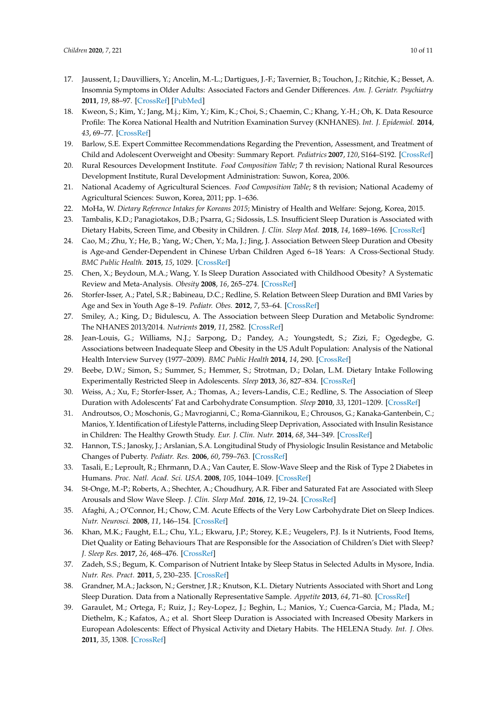- <span id="page-9-0"></span>17. Jaussent, I.; Dauvilliers, Y.; Ancelin, M.-L.; Dartigues, J.-F.; Tavernier, B.; Touchon, J.; Ritchie, K.; Besset, A. Insomnia Symptoms in Older Adults: Associated Factors and Gender Differences. *Am. J. Geriatr. Psychiatry* **2011**, *19*, 88–97. [\[CrossRef\]](http://dx.doi.org/10.1097/JGP.0b013e3181e049b6) [\[PubMed\]](http://www.ncbi.nlm.nih.gov/pubmed/20808113)
- <span id="page-9-1"></span>18. Kweon, S.; Kim, Y.; Jang, M.j.; Kim, Y.; Kim, K.; Choi, S.; Chaemin, C.; Khang, Y.-H.; Oh, K. Data Resource Profile: The Korea National Health and Nutrition Examination Survey (KNHANES). *Int. J. Epidemiol.* **2014**, *43*, 69–77. [\[CrossRef\]](http://dx.doi.org/10.1093/ije/dyt228)
- <span id="page-9-2"></span>19. Barlow, S.E. Expert Committee Recommendations Regarding the Prevention, Assessment, and Treatment of Child and Adolescent Overweight and Obesity: Summary Report. *Pediatrics* **2007**, *120*, S164–S192. [\[CrossRef\]](http://dx.doi.org/10.1542/peds.2007-2329C)
- <span id="page-9-3"></span>20. Rural Resources Development Institute. *Food Composition Table*; 7 th revision; National Rural Resources Development Institute, Rural Development Administration: Suwon, Korea, 2006.
- <span id="page-9-4"></span>21. National Academy of Agricultural Sciences. *Food Composition Table*; 8 th revision; National Academy of Agricultural Sciences: Suwon, Korea, 2011; pp. 1–636.
- <span id="page-9-5"></span>22. MoHa, W. *Dietary Reference Intakes for Koreans 2015*; Ministry of Health and Welfare: Sejong, Korea, 2015.
- <span id="page-9-6"></span>23. Tambalis, K.D.; Panagiotakos, D.B.; Psarra, G.; Sidossis, L.S. Insufficient Sleep Duration is Associated with Dietary Habits, Screen Time, and Obesity in Children. *J. Clin. Sleep Med.* **2018**, *14*, 1689–1696. [\[CrossRef\]](http://dx.doi.org/10.5664/jcsm.7374)
- <span id="page-9-7"></span>24. Cao, M.; Zhu, Y.; He, B.; Yang, W.; Chen, Y.; Ma, J.; Jing, J. Association Between Sleep Duration and Obesity is Age-and Gender-Dependent in Chinese Urban Children Aged 6–18 Years: A Cross-Sectional Study. *BMC Public Health.* **2015**, *15*, 1029. [\[CrossRef\]](http://dx.doi.org/10.1186/s12889-015-2359-0)
- <span id="page-9-8"></span>25. Chen, X.; Beydoun, M.A.; Wang, Y. Is Sleep Duration Associated with Childhood Obesity? A Systematic Review and Meta-Analysis. *Obesity* **2008**, *16*, 265–274. [\[CrossRef\]](http://dx.doi.org/10.1038/oby.2007.63)
- <span id="page-9-9"></span>26. Storfer-Isser, A.; Patel, S.R.; Babineau, D.C.; Redline, S. Relation Between Sleep Duration and BMI Varies by Age and Sex in Youth Age 8–19. *Pediatr. Obes.* **2012**, *7*, 53–64. [\[CrossRef\]](http://dx.doi.org/10.1111/j.2047-6310.2011.00008.x)
- <span id="page-9-10"></span>27. Smiley, A.; King, D.; Bidulescu, A. The Association between Sleep Duration and Metabolic Syndrome: The NHANES 2013/2014. *Nutrients* **2019**, *11*, 2582. [\[CrossRef\]](http://dx.doi.org/10.3390/nu11112582)
- <span id="page-9-11"></span>28. Jean-Louis, G.; Williams, N.J.; Sarpong, D.; Pandey, A.; Youngstedt, S.; Zizi, F.; Ogedegbe, G. Associations between Inadequate Sleep and Obesity in the US Adult Population: Analysis of the National Health Interview Survey (1977–2009). *BMC Public Health* **2014**, *14*, 290. [\[CrossRef\]](http://dx.doi.org/10.1186/1471-2458-14-290)
- <span id="page-9-12"></span>29. Beebe, D.W.; Simon, S.; Summer, S.; Hemmer, S.; Strotman, D.; Dolan, L.M. Dietary Intake Following Experimentally Restricted Sleep in Adolescents. *Sleep* **2013**, *36*, 827–834. [\[CrossRef\]](http://dx.doi.org/10.5665/sleep.2704)
- <span id="page-9-13"></span>30. Weiss, A.; Xu, F.; Storfer-Isser, A.; Thomas, A.; Ievers-Landis, C.E.; Redline, S. The Association of Sleep Duration with Adolescents' Fat and Carbohydrate Consumption. *Sleep* **2010**, *33*, 1201–1209. [\[CrossRef\]](http://dx.doi.org/10.1093/sleep/33.9.1201)
- <span id="page-9-14"></span>31. Androutsos, O.; Moschonis, G.; Mavrogianni, C.; Roma-Giannikou, E.; Chrousos, G.; Kanaka-Gantenbein, C.; Manios, Y. Identification of Lifestyle Patterns, including Sleep Deprivation, Associated with Insulin Resistance in Children: The Healthy Growth Study. *Eur. J. Clin. Nutr.* **2014**, *68*, 344–349. [\[CrossRef\]](http://dx.doi.org/10.1038/ejcn.2013.280)
- <span id="page-9-15"></span>32. Hannon, T.S.; Janosky, J.; Arslanian, S.A. Longitudinal Study of Physiologic Insulin Resistance and Metabolic Changes of Puberty. *Pediatr. Res.* **2006**, *60*, 759–763. [\[CrossRef\]](http://dx.doi.org/10.1203/01.pdr.0000246097.73031.27)
- <span id="page-9-16"></span>33. Tasali, E.; Leproult, R.; Ehrmann, D.A.; Van Cauter, E. Slow-Wave Sleep and the Risk of Type 2 Diabetes in Humans. *Proc. Natl. Acad. Sci. USA.* **2008**, *105*, 1044–1049. [\[CrossRef\]](http://dx.doi.org/10.1073/pnas.0706446105)
- <span id="page-9-17"></span>34. St-Onge, M.-P.; Roberts, A.; Shechter, A.; Choudhury, A.R. Fiber and Saturated Fat are Associated with Sleep Arousals and Slow Wave Sleep. *J. Clin. Sleep Med.* **2016**, *12*, 19–24. [\[CrossRef\]](http://dx.doi.org/10.5664/jcsm.5384)
- <span id="page-9-18"></span>35. Afaghi, A.; O'Connor, H.; Chow, C.M. Acute Effects of the Very Low Carbohydrate Diet on Sleep Indices. *Nutr. Neurosci.* **2008**, *11*, 146–154. [\[CrossRef\]](http://dx.doi.org/10.1179/147683008X301540)
- <span id="page-9-19"></span>36. Khan, M.K.; Faught, E.L.; Chu, Y.L.; Ekwaru, J.P.; Storey, K.E.; Veugelers, P.J. Is it Nutrients, Food Items, Diet Quality or Eating Behaviours That are Responsible for the Association of Children's Diet with Sleep? *J. Sleep Res.* **2017**, *26*, 468–476. [\[CrossRef\]](http://dx.doi.org/10.1111/jsr.12466)
- <span id="page-9-20"></span>37. Zadeh, S.S.; Begum, K. Comparison of Nutrient Intake by Sleep Status in Selected Adults in Mysore, India. *Nutr. Res. Pract.* **2011**, *5*, 230–235. [\[CrossRef\]](http://dx.doi.org/10.4162/nrp.2011.5.3.230)
- <span id="page-9-21"></span>38. Grandner, M.A.; Jackson, N.; Gerstner, J.R.; Knutson, K.L. Dietary Nutrients Associated with Short and Long Sleep Duration. Data from a Nationally Representative Sample. *Appetite* **2013**, *64*, 71–80. [\[CrossRef\]](http://dx.doi.org/10.1016/j.appet.2013.01.004)
- <span id="page-9-22"></span>39. Garaulet, M.; Ortega, F.; Ruiz, J.; Rey-Lopez, J.; Beghin, L.; Manios, Y.; Cuenca-Garcia, M.; Plada, M.; Diethelm, K.; Kafatos, A.; et al. Short Sleep Duration is Associated with Increased Obesity Markers in European Adolescents: Effect of Physical Activity and Dietary Habits. The HELENA Study. *Int. J. Obes.* **2011**, *35*, 1308. [\[CrossRef\]](http://dx.doi.org/10.1038/ijo.2011.149)